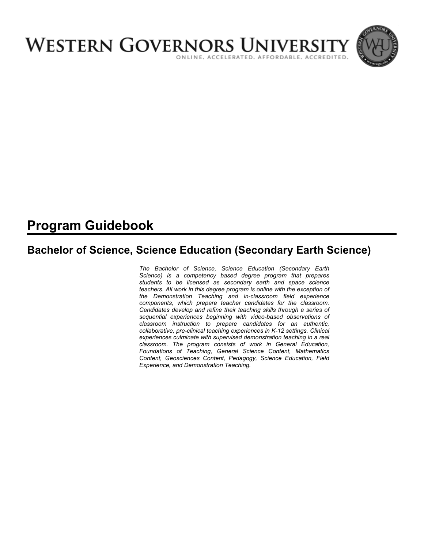

# **Program Guidebook**

# **Bachelor of Science, Science Education (Secondary Earth Science)**

*The Bachelor of Science, Science Education (Secondary Earth Science) is a competency based degree program that prepares students to be licensed as secondary earth and space science teachers. All work in this degree program is online with the exception of the Demonstration Teaching and in-classroom field experience components, which prepare teacher candidates for the classroom. Candidates develop and refine their teaching skills through a series of sequential experiences beginning with video-based observations of classroom instruction to prepare candidates for an authentic, collaborative, pre-clinical teaching experiences in K-12 settings. Clinical experiences culminate with supervised demonstration teaching in a real classroom. The program consists of work in General Education, Foundations of Teaching, General Science Content, Mathematics Content, Geosciences Content, Pedagogy, Science Education, Field Experience, and Demonstration Teaching.*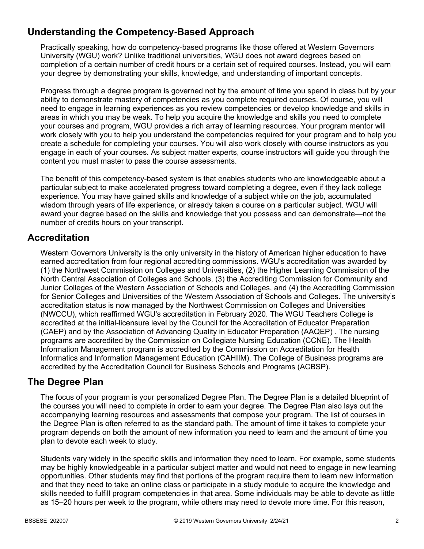# **Understanding the Competency-Based Approach**

Practically speaking, how do competency-based programs like those offered at Western Governors University (WGU) work? Unlike traditional universities, WGU does not award degrees based on completion of a certain number of credit hours or a certain set of required courses. Instead, you will earn your degree by demonstrating your skills, knowledge, and understanding of important concepts.

Progress through a degree program is governed not by the amount of time you spend in class but by your ability to demonstrate mastery of competencies as you complete required courses. Of course, you will need to engage in learning experiences as you review competencies or develop knowledge and skills in areas in which you may be weak. To help you acquire the knowledge and skills you need to complete your courses and program, WGU provides a rich array of learning resources. Your program mentor will work closely with you to help you understand the competencies required for your program and to help you create a schedule for completing your courses. You will also work closely with course instructors as you engage in each of your courses. As subject matter experts, course instructors will guide you through the content you must master to pass the course assessments.

The benefit of this competency-based system is that enables students who are knowledgeable about a particular subject to make accelerated progress toward completing a degree, even if they lack college experience. You may have gained skills and knowledge of a subject while on the job, accumulated wisdom through years of life experience, or already taken a course on a particular subject. WGU will award your degree based on the skills and knowledge that you possess and can demonstrate—not the number of credits hours on your transcript.

## **Accreditation**

Western Governors University is the only university in the history of American higher education to have earned accreditation from four regional accrediting commissions. WGU's accreditation was awarded by (1) the Northwest Commission on Colleges and Universities, (2) the Higher Learning Commission of the North Central Association of Colleges and Schools, (3) the Accrediting Commission for Community and Junior Colleges of the Western Association of Schools and Colleges, and (4) the Accrediting Commission for Senior Colleges and Universities of the Western Association of Schools and Colleges. The university's accreditation status is now managed by the Northwest Commission on Colleges and Universities (NWCCU), which reaffirmed WGU's accreditation in February 2020. The WGU Teachers College is accredited at the initial-licensure level by the Council for the Accreditation of Educator Preparation (CAEP) and by the Association of Advancing Quality in Educator Preparation (AAQEP) . The nursing programs are accredited by the Commission on Collegiate Nursing Education (CCNE). The Health Information Management program is accredited by the Commission on Accreditation for Health Informatics and Information Management Education (CAHIIM). The College of Business programs are accredited by the Accreditation Council for Business Schools and Programs (ACBSP).

## **The Degree Plan**

The focus of your program is your personalized Degree Plan. The Degree Plan is a detailed blueprint of the courses you will need to complete in order to earn your degree. The Degree Plan also lays out the accompanying learning resources and assessments that compose your program. The list of courses in the Degree Plan is often referred to as the standard path. The amount of time it takes to complete your program depends on both the amount of new information you need to learn and the amount of time you plan to devote each week to study.

Students vary widely in the specific skills and information they need to learn. For example, some students may be highly knowledgeable in a particular subject matter and would not need to engage in new learning opportunities. Other students may find that portions of the program require them to learn new information and that they need to take an online class or participate in a study module to acquire the knowledge and skills needed to fulfill program competencies in that area. Some individuals may be able to devote as little as 15–20 hours per week to the program, while others may need to devote more time. For this reason,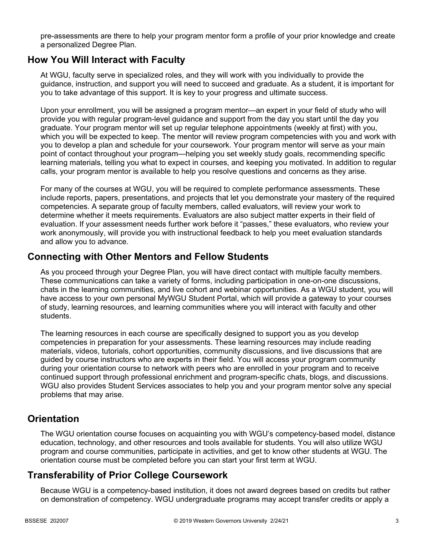pre-assessments are there to help your program mentor form a profile of your prior knowledge and create a personalized Degree Plan.

## **How You Will Interact with Faculty**

At WGU, faculty serve in specialized roles, and they will work with you individually to provide the guidance, instruction, and support you will need to succeed and graduate. As a student, it is important for you to take advantage of this support. It is key to your progress and ultimate success.

Upon your enrollment, you will be assigned a program mentor—an expert in your field of study who will provide you with regular program-level guidance and support from the day you start until the day you graduate. Your program mentor will set up regular telephone appointments (weekly at first) with you, which you will be expected to keep. The mentor will review program competencies with you and work with you to develop a plan and schedule for your coursework. Your program mentor will serve as your main point of contact throughout your program—helping you set weekly study goals, recommending specific learning materials, telling you what to expect in courses, and keeping you motivated. In addition to regular calls, your program mentor is available to help you resolve questions and concerns as they arise.

For many of the courses at WGU, you will be required to complete performance assessments. These include reports, papers, presentations, and projects that let you demonstrate your mastery of the required competencies. A separate group of faculty members, called evaluators, will review your work to determine whether it meets requirements. Evaluators are also subject matter experts in their field of evaluation. If your assessment needs further work before it "passes," these evaluators, who review your work anonymously, will provide you with instructional feedback to help you meet evaluation standards and allow you to advance.

## **Connecting with Other Mentors and Fellow Students**

As you proceed through your Degree Plan, you will have direct contact with multiple faculty members. These communications can take a variety of forms, including participation in one-on-one discussions, chats in the learning communities, and live cohort and webinar opportunities. As a WGU student, you will have access to your own personal MyWGU Student Portal, which will provide a gateway to your courses of study, learning resources, and learning communities where you will interact with faculty and other students.

The learning resources in each course are specifically designed to support you as you develop competencies in preparation for your assessments. These learning resources may include reading materials, videos, tutorials, cohort opportunities, community discussions, and live discussions that are guided by course instructors who are experts in their field. You will access your program community during your orientation course to network with peers who are enrolled in your program and to receive continued support through professional enrichment and program-specific chats, blogs, and discussions. WGU also provides Student Services associates to help you and your program mentor solve any special problems that may arise.

## **Orientation**

The WGU orientation course focuses on acquainting you with WGU's competency-based model, distance education, technology, and other resources and tools available for students. You will also utilize WGU program and course communities, participate in activities, and get to know other students at WGU. The orientation course must be completed before you can start your first term at WGU.

# **Transferability of Prior College Coursework**

Because WGU is a competency-based institution, it does not award degrees based on credits but rather on demonstration of competency. WGU undergraduate programs may accept transfer credits or apply a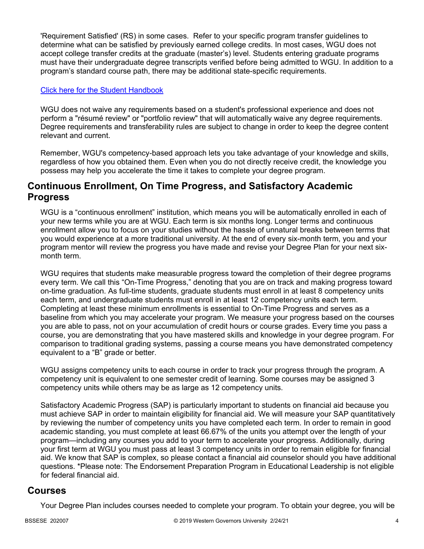'Requirement Satisfied' (RS) in some cases. Refer to your specific program transfer guidelines to determine what can be satisfied by previously earned college credits. In most cases, WGU does not accept college transfer credits at the graduate (master's) level. Students entering graduate programs must have their undergraduate degree transcripts verified before being admitted to WGU. In addition to a program's standard course path, there may be additional state-specific requirements.

### [Click here for the Student Handbook](http://cm.wgu.edu/)

WGU does not waive any requirements based on a student's professional experience and does not perform a "résumé review" or "portfolio review" that will automatically waive any degree requirements. Degree requirements and transferability rules are subject to change in order to keep the degree content relevant and current.

Remember, WGU's competency-based approach lets you take advantage of your knowledge and skills, regardless of how you obtained them. Even when you do not directly receive credit, the knowledge you possess may help you accelerate the time it takes to complete your degree program.

## **Continuous Enrollment, On Time Progress, and Satisfactory Academic Progress**

WGU is a "continuous enrollment" institution, which means you will be automatically enrolled in each of your new terms while you are at WGU. Each term is six months long. Longer terms and continuous enrollment allow you to focus on your studies without the hassle of unnatural breaks between terms that you would experience at a more traditional university. At the end of every six-month term, you and your program mentor will review the progress you have made and revise your Degree Plan for your next sixmonth term.

WGU requires that students make measurable progress toward the completion of their degree programs every term. We call this "On-Time Progress," denoting that you are on track and making progress toward on-time graduation. As full-time students, graduate students must enroll in at least 8 competency units each term, and undergraduate students must enroll in at least 12 competency units each term. Completing at least these minimum enrollments is essential to On-Time Progress and serves as a baseline from which you may accelerate your program. We measure your progress based on the courses you are able to pass, not on your accumulation of credit hours or course grades. Every time you pass a course, you are demonstrating that you have mastered skills and knowledge in your degree program. For comparison to traditional grading systems, passing a course means you have demonstrated competency equivalent to a "B" grade or better.

WGU assigns competency units to each course in order to track your progress through the program. A competency unit is equivalent to one semester credit of learning. Some courses may be assigned 3 competency units while others may be as large as 12 competency units.

Satisfactory Academic Progress (SAP) is particularly important to students on financial aid because you must achieve SAP in order to maintain eligibility for financial aid. We will measure your SAP quantitatively by reviewing the number of competency units you have completed each term. In order to remain in good academic standing, you must complete at least 66.67% of the units you attempt over the length of your program—including any courses you add to your term to accelerate your progress. Additionally, during your first term at WGU you must pass at least 3 competency units in order to remain eligible for financial aid. We know that SAP is complex, so please contact a financial aid counselor should you have additional questions. \*Please note: The Endorsement Preparation Program in Educational Leadership is not eligible for federal financial aid.

## **Courses**

Your Degree Plan includes courses needed to complete your program. To obtain your degree, you will be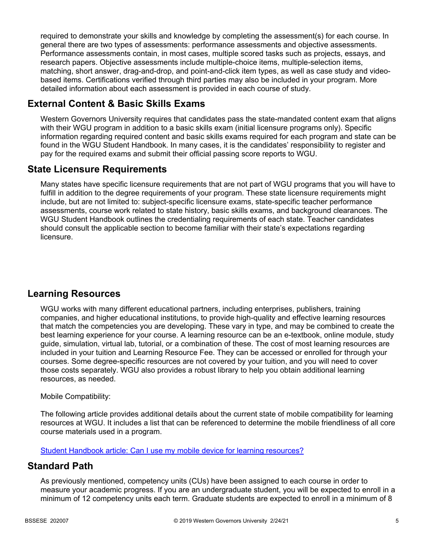required to demonstrate your skills and knowledge by completing the assessment(s) for each course. In general there are two types of assessments: performance assessments and objective assessments. Performance assessments contain, in most cases, multiple scored tasks such as projects, essays, and research papers. Objective assessments include multiple-choice items, multiple-selection items, matching, short answer, drag-and-drop, and point-and-click item types, as well as case study and videobased items. Certifications verified through third parties may also be included in your program. More detailed information about each assessment is provided in each course of study.

# **External Content & Basic Skills Exams**

Western Governors University requires that candidates pass the state-mandated content exam that aligns with their WGU program in addition to a basic skills exam (initial licensure programs only). Specific information regarding required content and basic skills exams required for each program and state can be found in the WGU Student Handbook. In many cases, it is the candidates' responsibility to register and pay for the required exams and submit their official passing score reports to WGU.

## **State Licensure Requirements**

Many states have specific licensure requirements that are not part of WGU programs that you will have to fulfill in addition to the degree requirements of your program. These state licensure requirements might include, but are not limited to: subject-specific licensure exams, state-specific teacher performance assessments, course work related to state history, basic skills exams, and background clearances. The WGU Student Handbook outlines the credentialing requirements of each state. Teacher candidates should consult the applicable section to become familiar with their state's expectations regarding licensure.

# **Learning Resources**

WGU works with many different educational partners, including enterprises, publishers, training companies, and higher educational institutions, to provide high-quality and effective learning resources that match the competencies you are developing. These vary in type, and may be combined to create the best learning experience for your course. A learning resource can be an e-textbook, online module, study guide, simulation, virtual lab, tutorial, or a combination of these. The cost of most learning resources are included in your tuition and Learning Resource Fee. They can be accessed or enrolled for through your courses. Some degree-specific resources are not covered by your tuition, and you will need to cover those costs separately. WGU also provides a robust library to help you obtain additional learning resources, as needed.

## Mobile Compatibility:

The following article provides additional details about the current state of mobile compatibility for learning resources at WGU. It includes a list that can be referenced to determine the mobile friendliness of all core course materials used in a program.

[Student Handbook article: Can I use my mobile device for learning resources?](https://cm.wgu.edu/t5/Frequently-Asked-Questions/Can-I-use-my-mobile-device-for-learning-resources/ta-p/396)

## **Standard Path**

As previously mentioned, competency units (CUs) have been assigned to each course in order to measure your academic progress. If you are an undergraduate student, you will be expected to enroll in a minimum of 12 competency units each term. Graduate students are expected to enroll in a minimum of 8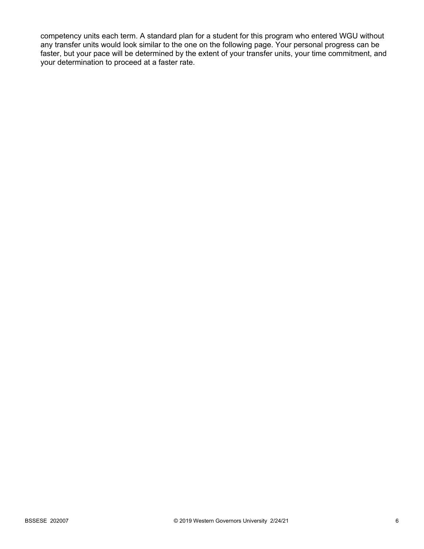competency units each term. A standard plan for a student for this program who entered WGU without any transfer units would look similar to the one on the following page. Your personal progress can be faster, but your pace will be determined by the extent of your transfer units, your time commitment, and your determination to proceed at a faster rate.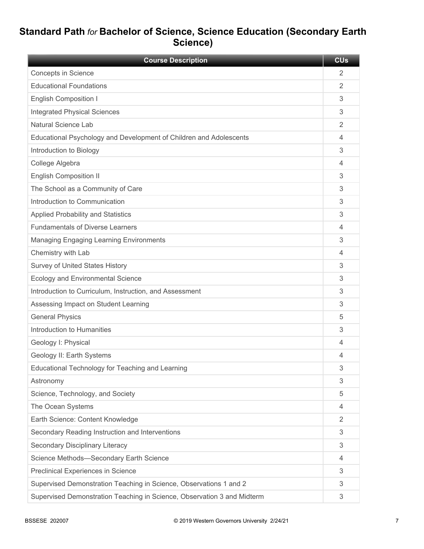# **Standard Path** *for* **Bachelor of Science, Science Education (Secondary Earth Science)**

| <b>Course Description</b>                                               | <b>CU<sub>s</sub></b> |
|-------------------------------------------------------------------------|-----------------------|
| <b>Concepts in Science</b>                                              | 2                     |
| <b>Educational Foundations</b>                                          | 2                     |
| <b>English Composition I</b>                                            | 3                     |
| <b>Integrated Physical Sciences</b>                                     | 3                     |
| <b>Natural Science Lab</b>                                              | 2                     |
| Educational Psychology and Development of Children and Adolescents      | 4                     |
| Introduction to Biology                                                 | 3                     |
| College Algebra                                                         | 4                     |
| <b>English Composition II</b>                                           | 3                     |
| The School as a Community of Care                                       | 3                     |
| Introduction to Communication                                           | 3                     |
| <b>Applied Probability and Statistics</b>                               | 3                     |
| <b>Fundamentals of Diverse Learners</b>                                 | 4                     |
| <b>Managing Engaging Learning Environments</b>                          | 3                     |
| Chemistry with Lab                                                      | 4                     |
| <b>Survey of United States History</b>                                  | 3                     |
| <b>Ecology and Environmental Science</b>                                | 3                     |
| Introduction to Curriculum, Instruction, and Assessment                 | 3                     |
| Assessing Impact on Student Learning                                    | 3                     |
| <b>General Physics</b>                                                  | 5                     |
| Introduction to Humanities                                              | 3                     |
| Geology I: Physical                                                     | 4                     |
| Geology II: Earth Systems                                               | 4                     |
| Educational Technology for Teaching and Learning                        | 3                     |
| Astronomy                                                               | 3                     |
| Science, Technology, and Society                                        | 5                     |
| The Ocean Systems                                                       | 4                     |
| Earth Science: Content Knowledge                                        | $\overline{2}$        |
| Secondary Reading Instruction and Interventions                         | 3                     |
| Secondary Disciplinary Literacy                                         | 3                     |
| Science Methods-Secondary Earth Science                                 | 4                     |
| Preclinical Experiences in Science                                      | 3                     |
| Supervised Demonstration Teaching in Science, Observations 1 and 2      | 3                     |
| Supervised Demonstration Teaching in Science, Observation 3 and Midterm | 3                     |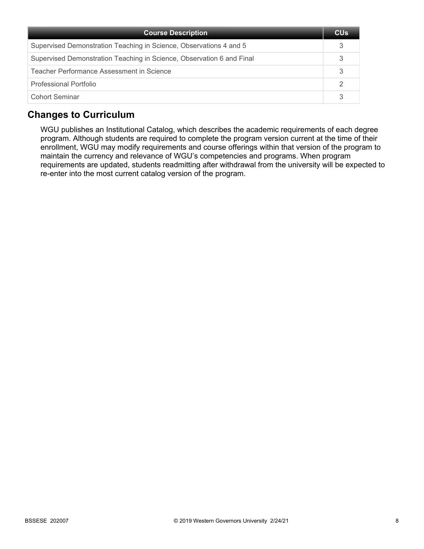| <b>Course Description</b>                                             | <b>CU<sub>s</sub></b> |
|-----------------------------------------------------------------------|-----------------------|
| Supervised Demonstration Teaching in Science, Observations 4 and 5    |                       |
| Supervised Demonstration Teaching in Science, Observation 6 and Final |                       |
| Teacher Performance Assessment in Science                             |                       |
| Professional Portfolio                                                |                       |
| Cohort Seminar                                                        |                       |

# **Changes to Curriculum**

WGU publishes an Institutional Catalog, which describes the academic requirements of each degree program. Although students are required to complete the program version current at the time of their enrollment, WGU may modify requirements and course offerings within that version of the program to maintain the currency and relevance of WGU's competencies and programs. When program requirements are updated, students readmitting after withdrawal from the university will be expected to re-enter into the most current catalog version of the program.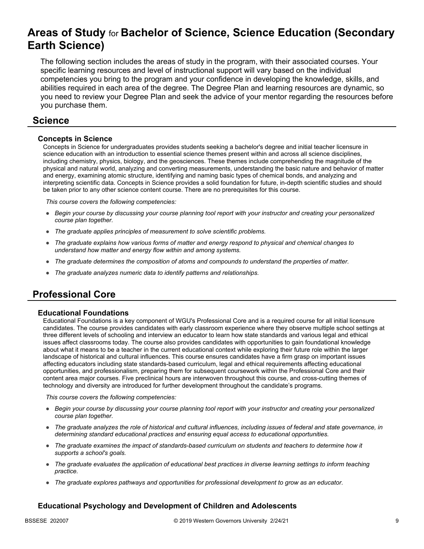# **Areas of Study** for **Bachelor of Science, Science Education (Secondary Earth Science)**

The following section includes the areas of study in the program, with their associated courses. Your specific learning resources and level of instructional support will vary based on the individual competencies you bring to the program and your confidence in developing the knowledge, skills, and abilities required in each area of the degree. The Degree Plan and learning resources are dynamic, so you need to review your Degree Plan and seek the advice of your mentor regarding the resources before you purchase them.

## **Science**

### **Concepts in Science**

Concepts in Science for undergraduates provides students seeking a bachelor's degree and initial teacher licensure in science education with an introduction to essential science themes present within and across all science disciplines, including chemistry, physics, biology, and the geosciences. These themes include comprehending the magnitude of the physical and natural world, analyzing and converting measurements, understanding the basic nature and behavior of matter and energy, examining atomic structure, identifying and naming basic types of chemical bonds, and analyzing and interpreting scientific data. Concepts in Science provides a solid foundation for future, in-depth scientific studies and should be taken prior to any other science content course. There are no prerequisites for this course.

*This course covers the following competencies:*

- *Begin your course by discussing your course planning tool report with your instructor and creating your personalized course plan together.*
- *The graduate applies principles of measurement to solve scientific problems.*
- *The graduate explains how various forms of matter and energy respond to physical and chemical changes to understand how matter and energy flow within and among systems.*
- *The graduate determines the composition of atoms and compounds to understand the properties of matter.*
- *The graduate analyzes numeric data to identify patterns and relationships.*

# **Professional Core**

#### **Educational Foundations**

Educational Foundations is a key component of WGU's Professional Core and is a required course for all initial licensure candidates. The course provides candidates with early classroom experience where they observe multiple school settings at three different levels of schooling and interview an educator to learn how state standards and various legal and ethical issues affect classrooms today. The course also provides candidates with opportunities to gain foundational knowledge about what it means to be a teacher in the current educational context while exploring their future role within the larger landscape of historical and cultural influences. This course ensures candidates have a firm grasp on important issues affecting educators including state standards-based curriculum, legal and ethical requirements affecting educational opportunities, and professionalism, preparing them for subsequent coursework within the Professional Core and their content area major courses. Five preclinical hours are interwoven throughout this course, and cross-cutting themes of technology and diversity are introduced for further development throughout the candidate's programs.

*This course covers the following competencies:*

- *Begin your course by discussing your course planning tool report with your instructor and creating your personalized course plan together.*
- *The graduate analyzes the role of historical and cultural influences, including issues of federal and state governance, in determining standard educational practices and ensuring equal access to educational opportunities.*
- *The graduate examines the impact of standards-based curriculum on students and teachers to determine how it supports a school's goals.*
- *The graduate evaluates the application of educational best practices in diverse learning settings to inform teaching practice.*
- *The graduate explores pathways and opportunities for professional development to grow as an educator.*

## **Educational Psychology and Development of Children and Adolescents**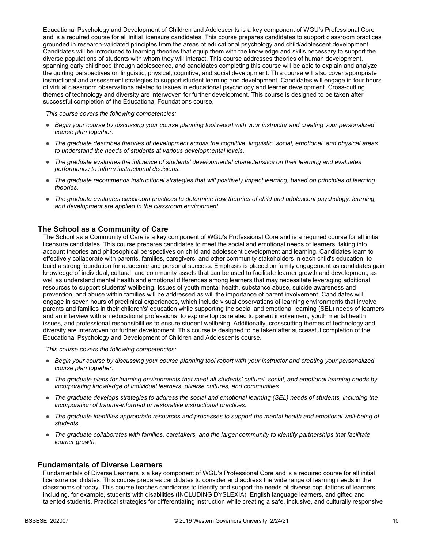Educational Psychology and Development of Children and Adolescents is a key component of WGU's Professional Core and is a required course for all initial licensure candidates. This course prepares candidates to support classroom practices grounded in research-validated principles from the areas of educational psychology and child/adolescent development. Candidates will be introduced to learning theories that equip them with the knowledge and skills necessary to support the diverse populations of students with whom they will interact. This course addresses theories of human development, spanning early childhood through adolescence, and candidates completing this course will be able to explain and analyze the guiding perspectives on linguistic, physical, cognitive, and social development. This course will also cover appropriate instructional and assessment strategies to support student learning and development. Candidates will engage in four hours of virtual classroom observations related to issues in educational psychology and learner development. Cross-cutting themes of technology and diversity are interwoven for further development. This course is designed to be taken after successful completion of the Educational Foundations course.

*This course covers the following competencies:*

- *Begin your course by discussing your course planning tool report with your instructor and creating your personalized course plan together.*
- *The graduate describes theories of development across the cognitive, linguistic, social, emotional, and physical areas to understand the needs of students at various developmental levels.*
- *The graduate evaluates the influence of students' developmental characteristics on their learning and evaluates performance to inform instructional decisions.*
- *The graduate recommends instructional strategies that will positively impact learning, based on principles of learning theories.*
- *The graduate evaluates classroom practices to determine how theories of child and adolescent psychology, learning, and development are applied in the classroom environment.*

#### **The School as a Community of Care**

The School as a Community of Care is a key component of WGU's Professional Core and is a required course for all initial licensure candidates. This course prepares candidates to meet the social and emotional needs of learners, taking into account theories and philosophical perspectives on child and adolescent development and learning. Candidates learn to effectively collaborate with parents, families, caregivers, and other community stakeholders in each child's education, to build a strong foundation for academic and personal success. Emphasis is placed on family engagement as candidates gain knowledge of individual, cultural, and community assets that can be used to facilitate learner growth and development, as well as understand mental health and emotional differences among learners that may necessitate leveraging additional resources to support students' wellbeing. Issues of youth mental health, substance abuse, suicide awareness and prevention, and abuse within families will be addressed as will the importance of parent involvement. Candidates will engage in seven hours of preclinical experiences, which include visual observations of learning environments that involve parents and families in their children's' education while supporting the social and emotional learning (SEL) needs of learners and an interview with an educational professional to explore topics related to parent involvement, youth mental health issues, and professional responsibilities to ensure student wellbeing. Additionally, crosscutting themes of technology and diversity are interwoven for further development. This course is designed to be taken after successful completion of the Educational Psychology and Development of Children and Adolescents course.

*This course covers the following competencies:*

- *Begin your course by discussing your course planning tool report with your instructor and creating your personalized course plan together.*
- *The graduate plans for learning environments that meet all students' cultural, social, and emotional learning needs by incorporating knowledge of individual learners, diverse cultures, and communities.*
- *The graduate develops strategies to address the social and emotional learning (SEL) needs of students, including the incorporation of trauma-informed or restorative instructional practices.*
- *The graduate identifies appropriate resources and processes to support the mental health and emotional well-being of students.*
- *The graduate collaborates with families, caretakers, and the larger community to identify partnerships that facilitate learner growth.*

#### **Fundamentals of Diverse Learners**

Fundamentals of Diverse Learners is a key component of WGU's Professional Core and is a required course for all initial licensure candidates. This course prepares candidates to consider and address the wide range of learning needs in the classrooms of today. This course teaches candidates to identify and support the needs of diverse populations of learners, including, for example, students with disabilities (INCLUDING DYSLEXIA), English language learners, and gifted and talented students. Practical strategies for differentiating instruction while creating a safe, inclusive, and culturally responsive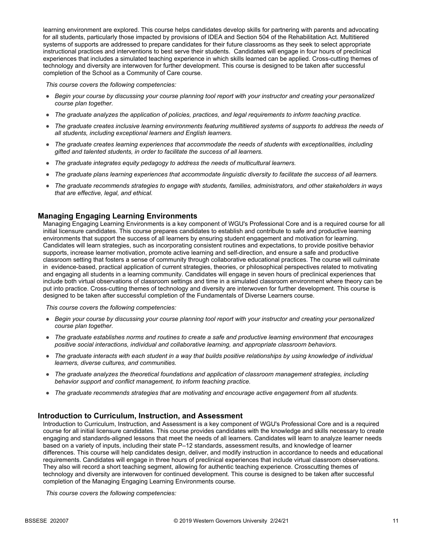learning environment are explored. This course helps candidates develop skills for partnering with parents and advocating for all students, particularly those impacted by provisions of IDEA and Section 504 of the Rehabilitation Act. Multitiered systems of supports are addressed to prepare candidates for their future classrooms as they seek to select appropriate instructional practices and interventions to best serve their students. Candidates will engage in four hours of preclinical experiences that includes a simulated teaching experience in which skills learned can be applied. Cross-cutting themes of technology and diversity are interwoven for further development. This course is designed to be taken after successful completion of the School as a Community of Care course.

*This course covers the following competencies:*

- *Begin your course by discussing your course planning tool report with your instructor and creating your personalized course plan together.*
- *The graduate analyzes the application of policies, practices, and legal requirements to inform teaching practice.*
- *The graduate creates inclusive learning environments featuring multitiered systems of supports to address the needs of all students, including exceptional learners and English learners.*
- *The graduate creates learning experiences that accommodate the needs of students with exceptionalities, including gifted and talented students, in order to facilitate the success of all learners.*
- *The graduate integrates equity pedagogy to address the needs of multicultural learners.*
- *The graduate plans learning experiences that accommodate linguistic diversity to facilitate the success of all learners.*
- *The graduate recommends strategies to engage with students, families, administrators, and other stakeholders in ways that are effective, legal, and ethical.*

#### **Managing Engaging Learning Environments**

Managing Engaging Learning Environments is a key component of WGU's Professional Core and is a required course for all initial licensure candidates. This course prepares candidates to establish and contribute to safe and productive learning environments that support the success of all learners by ensuring student engagement and motivation for learning. Candidates will learn strategies, such as incorporating consistent routines and expectations, to provide positive behavior supports, increase learner motivation, promote active learning and self-direction, and ensure a safe and productive classroom setting that fosters a sense of community through collaborative educational practices. The course will culminate in evidence-based, practical application of current strategies, theories, or philosophical perspectives related to motivating and engaging all students in a learning community. Candidates will engage in seven hours of preclinical experiences that include both virtual observations of classroom settings and time in a simulated classroom environment where theory can be put into practice. Cross-cutting themes of technology and diversity are interwoven for further development. This course is designed to be taken after successful completion of the Fundamentals of Diverse Learners course.

*This course covers the following competencies:*

- *Begin your course by discussing your course planning tool report with your instructor and creating your personalized course plan together.*
- *The graduate establishes norms and routines to create a safe and productive learning environment that encourages positive social interactions, individual and collaborative learning, and appropriate classroom behaviors.*
- *The graduate interacts with each student in a way that builds positive relationships by using knowledge of individual learners, diverse cultures, and communities.*
- *The graduate analyzes the theoretical foundations and application of classroom management strategies, including behavior support and conflict management, to inform teaching practice.*
- *The graduate recommends strategies that are motivating and encourage active engagement from all students.*

#### **Introduction to Curriculum, Instruction, and Assessment**

Introduction to Curriculum, Instruction, and Assessment is a key component of WGU's Professional Core and is a required course for all initial licensure candidates. This course provides candidates with the knowledge and skills necessary to create engaging and standards-aligned lessons that meet the needs of all learners. Candidates will learn to analyze learner needs based on a variety of inputs, including their state P–12 standards, assessment results, and knowledge of learner differences. This course will help candidates design, deliver, and modify instruction in accordance to needs and educational requirements. Candidates will engage in three hours of preclinical experiences that include virtual classroom observations. They also will record a short teaching segment, allowing for authentic teaching experience. Crosscutting themes of technology and diversity are interwoven for continued development. This course is designed to be taken after successful completion of the Managing Engaging Learning Environments course.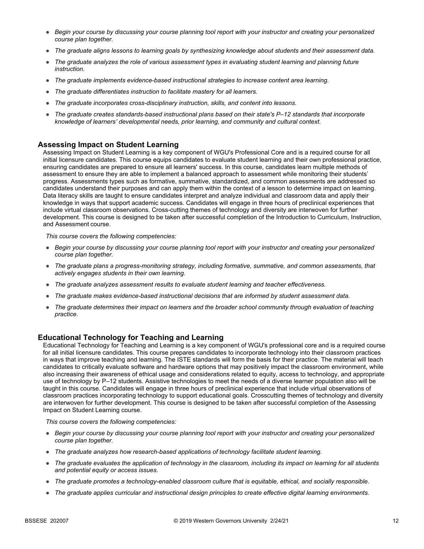- *Begin your course by discussing your course planning tool report with your instructor and creating your personalized course plan together.*
- *The graduate aligns lessons to learning goals by synthesizing knowledge about students and their assessment data.*
- *The graduate analyzes the role of various assessment types in evaluating student learning and planning future instruction.*
- *The graduate implements evidence-based instructional strategies to increase content area learning.*
- *The graduate differentiates instruction to facilitate mastery for all learners.*
- *The graduate incorporates cross-disciplinary instruction, skills, and content into lessons.*
- *The graduate creates standards-based instructional plans based on their state's P–12 standards that incorporate knowledge of learners' developmental needs, prior learning, and community and cultural context.*

#### **Assessing Impact on Student Learning**

Assessing Impact on Student Learning is a key component of WGU's Professional Core and is a required course for all initial licensure candidates. This course equips candidates to evaluate student learning and their own professional practice, ensuring candidates are prepared to ensure all learners' success. In this course, candidates learn multiple methods of assessment to ensure they are able to implement a balanced approach to assessment while monitoring their students' progress. Assessments types such as formative, summative, standardized, and common assessments are addressed so candidates understand their purposes and can apply them within the context of a lesson to determine impact on learning. Data literacy skills are taught to ensure candidates interpret and analyze individual and classroom data and apply their knowledge in ways that support academic success. Candidates will engage in three hours of preclinical experiences that include virtual classroom observations. Cross-cutting themes of technology and diversity are interwoven for further development. This course is designed to be taken after successful completion of the Introduction to Curriculum, Instruction, and Assessment course.

*This course covers the following competencies:*

- *Begin your course by discussing your course planning tool report with your instructor and creating your personalized course plan together.*
- *The graduate plans a progress-monitoring strategy, including formative, summative, and common assessments, that actively engages students in their own learning.*
- *The graduate analyzes assessment results to evaluate student learning and teacher effectiveness.*
- *The graduate makes evidence-based instructional decisions that are informed by student assessment data.*
- *The graduate determines their impact on learners and the broader school community through evaluation of teaching practice.*

### **Educational Technology for Teaching and Learning**

Educational Technology for Teaching and Learning is a key component of WGU's professional core and is a required course for all initial licensure candidates. This course prepares candidates to incorporate technology into their classroom practices in ways that improve teaching and learning. The ISTE standards will form the basis for their practice. The material will teach candidates to critically evaluate software and hardware options that may positively impact the classroom environment, while also increasing their awareness of ethical usage and considerations related to equity, access to technology, and appropriate use of technology by P–12 students. Assistive technologies to meet the needs of a diverse learner population also will be taught in this course. Candidates will engage in three hours of preclinical experience that include virtual observations of classroom practices incorporating technology to support educational goals. Crosscutting themes of technology and diversity are interwoven for further development. This course is designed to be taken after successful completion of the Assessing Impact on Student Learning course.

- *Begin your course by discussing your course planning tool report with your instructor and creating your personalized course plan together.*
- *The graduate analyzes how research-based applications of technology facilitate student learning.*
- *The graduate evaluates the application of technology in the classroom, including its impact on learning for all students and potential equity or access issues.*
- *The graduate promotes a technology-enabled classroom culture that is equitable, ethical, and socially responsible.*
- *The graduate applies curricular and instructional design principles to create effective digital learning environments.*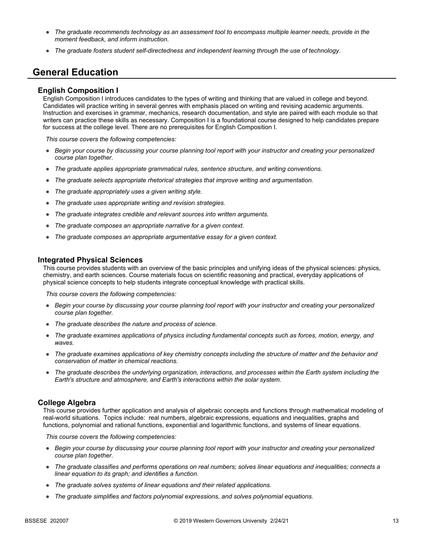- *The graduate recommends technology as an assessment tool to encompass multiple learner needs, provide in the moment feedback, and inform instruction.*
- *The graduate fosters student self-directedness and independent learning through the use of technology.*

## **General Education**

#### **English Composition I**

English Composition I introduces candidates to the types of writing and thinking that are valued in college and beyond. Candidates will practice writing in several genres with emphasis placed on writing and revising academic arguments. Instruction and exercises in grammar, mechanics, research documentation, and style are paired with each module so that writers can practice these skills as necessary. Composition I is a foundational course designed to help candidates prepare for success at the college level. There are no prerequisites for English Composition I.

*This course covers the following competencies:*

- *Begin your course by discussing your course planning tool report with your instructor and creating your personalized course plan together.*
- *The graduate applies appropriate grammatical rules, sentence structure, and writing conventions.*
- *The graduate selects appropriate rhetorical strategies that improve writing and argumentation.*
- *The graduate appropriately uses a given writing style.*
- *The graduate uses appropriate writing and revision strategies.*
- *The graduate integrates credible and relevant sources into written arguments.*
- *The graduate composes an appropriate narrative for a given context.*
- *The graduate composes an appropriate argumentative essay for a given context.*

#### **Integrated Physical Sciences**

This course provides students with an overview of the basic principles and unifying ideas of the physical sciences: physics, chemistry, and earth sciences. Course materials focus on scientific reasoning and practical, everyday applications of physical science concepts to help students integrate conceptual knowledge with practical skills.

*This course covers the following competencies:*

- *Begin your course by discussing your course planning tool report with your instructor and creating your personalized course plan together.*
- *The graduate describes the nature and process of science.*
- *The graduate examines applications of physics including fundamental concepts such as forces, motion, energy, and waves.*
- *The graduate examines applications of key chemistry concepts including the structure of matter and the behavior and conservation of matter in chemical reactions.*
- *The graduate describes the underlying organization, interactions, and processes within the Earth system including the Earth's structure and atmosphere, and Earth's interactions within the solar system.*

#### **College Algebra**

This course provides further application and analysis of algebraic concepts and functions through mathematical modeling of real-world situations. Topics include: real numbers, algebraic expressions, equations and inequalities, graphs and functions, polynomial and rational functions, exponential and logarithmic functions, and systems of linear equations.

- *Begin your course by discussing your course planning tool report with your instructor and creating your personalized course plan together.*
- *The graduate classifies and performs operations on real numbers; solves linear equations and inequalities; connects a linear equation to its graph; and identifies a function.*
- *The graduate solves systems of linear equations and their related applications.*
- *The graduate simplifies and factors polynomial expressions, and solves polynomial equations.*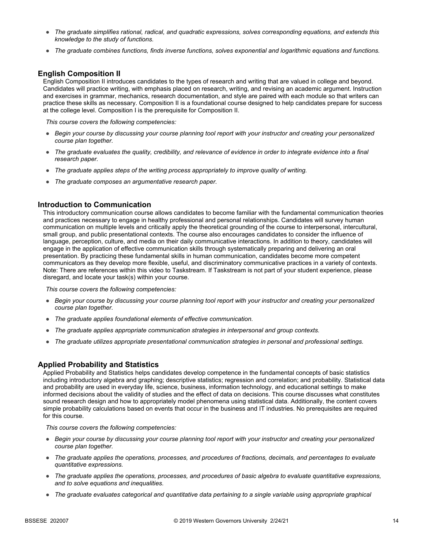- *The graduate simplifies rational, radical, and quadratic expressions, solves corresponding equations, and extends this knowledge to the study of functions.*
- *The graduate combines functions, finds inverse functions, solves exponential and logarithmic equations and functions.*

### **English Composition II**

English Composition II introduces candidates to the types of research and writing that are valued in college and beyond. Candidates will practice writing, with emphasis placed on research, writing, and revising an academic argument. Instruction and exercises in grammar, mechanics, research documentation, and style are paired with each module so that writers can practice these skills as necessary. Composition II is a foundational course designed to help candidates prepare for success at the college level. Composition I is the prerequisite for Composition II.

*This course covers the following competencies:*

- *Begin your course by discussing your course planning tool report with your instructor and creating your personalized course plan together.*
- *The graduate evaluates the quality, credibility, and relevance of evidence in order to integrate evidence into a final research paper.*
- *The graduate applies steps of the writing process appropriately to improve quality of writing.*
- *The graduate composes an argumentative research paper.*

#### **Introduction to Communication**

This introductory communication course allows candidates to become familiar with the fundamental communication theories and practices necessary to engage in healthy professional and personal relationships. Candidates will survey human communication on multiple levels and critically apply the theoretical grounding of the course to interpersonal, intercultural, small group, and public presentational contexts. The course also encourages candidates to consider the influence of language, perception, culture, and media on their daily communicative interactions. In addition to theory, candidates will engage in the application of effective communication skills through systematically preparing and delivering an oral presentation. By practicing these fundamental skills in human communication, candidates become more competent communicators as they develop more flexible, useful, and discriminatory communicative practices in a variety of contexts. Note: There are references within this video to Taskstream. If Taskstream is not part of your student experience, please disregard, and locate your task(s) within your course.

*This course covers the following competencies:*

- *Begin your course by discussing your course planning tool report with your instructor and creating your personalized course plan together.*
- *The graduate applies foundational elements of effective communication.*
- *The graduate applies appropriate communication strategies in interpersonal and group contexts.*
- *The graduate utilizes appropriate presentational communication strategies in personal and professional settings.*

#### **Applied Probability and Statistics**

Applied Probability and Statistics helps candidates develop competence in the fundamental concepts of basic statistics including introductory algebra and graphing; descriptive statistics; regression and correlation; and probability. Statistical data and probability are used in everyday life, science, business, information technology, and educational settings to make informed decisions about the validity of studies and the effect of data on decisions. This course discusses what constitutes sound research design and how to appropriately model phenomena using statistical data. Additionally, the content covers simple probability calculations based on events that occur in the business and IT industries. No prerequisites are required for this course.

- *Begin your course by discussing your course planning tool report with your instructor and creating your personalized course plan together.*
- *The graduate applies the operations, processes, and procedures of fractions, decimals, and percentages to evaluate quantitative expressions.*
- *The graduate applies the operations, processes, and procedures of basic algebra to evaluate quantitative expressions, and to solve equations and inequalities.*
- *The graduate evaluates categorical and quantitative data pertaining to a single variable using appropriate graphical*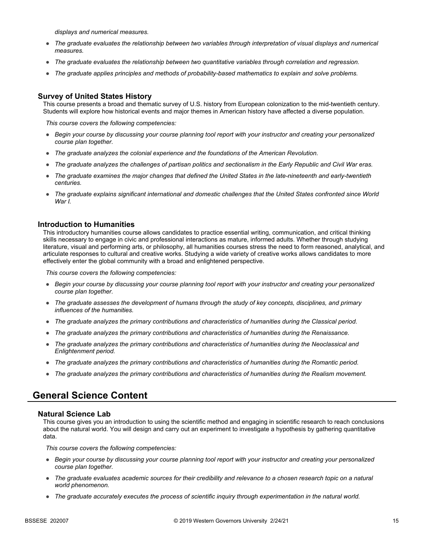*displays and numerical measures.*

- *The graduate evaluates the relationship between two variables through interpretation of visual displays and numerical measures.*
- *The graduate evaluates the relationship between two quantitative variables through correlation and regression.*
- *The graduate applies principles and methods of probability-based mathematics to explain and solve problems.*

### **Survey of United States History**

This course presents a broad and thematic survey of U.S. history from European colonization to the mid-twentieth century. Students will explore how historical events and major themes in American history have affected a diverse population.

*This course covers the following competencies:*

- *Begin your course by discussing your course planning tool report with your instructor and creating your personalized course plan together.*
- *The graduate analyzes the colonial experience and the foundations of the American Revolution.*
- *The graduate analyzes the challenges of partisan politics and sectionalism in the Early Republic and Civil War eras.*
- *The graduate examines the major changes that defined the United States in the late-nineteenth and early-twentieth centuries.*
- *The graduate explains significant international and domestic challenges that the United States confronted since World War I.*

#### **Introduction to Humanities**

This introductory humanities course allows candidates to practice essential writing, communication, and critical thinking skills necessary to engage in civic and professional interactions as mature, informed adults. Whether through studying literature, visual and performing arts, or philosophy, all humanities courses stress the need to form reasoned, analytical, and articulate responses to cultural and creative works. Studying a wide variety of creative works allows candidates to more effectively enter the global community with a broad and enlightened perspective.

*This course covers the following competencies:*

- *Begin your course by discussing your course planning tool report with your instructor and creating your personalized course plan together.*
- *The graduate assesses the development of humans through the study of key concepts, disciplines, and primary influences of the humanities.*
- *The graduate analyzes the primary contributions and characteristics of humanities during the Classical period.*
- *The graduate analyzes the primary contributions and characteristics of humanities during the Renaissance.*
- *The graduate analyzes the primary contributions and characteristics of humanities during the Neoclassical and Enlightenment period.*
- *The graduate analyzes the primary contributions and characteristics of humanities during the Romantic period.*
- *The graduate analyzes the primary contributions and characteristics of humanities during the Realism movement.*

## **General Science Content**

#### **Natural Science Lab**

This course gives you an introduction to using the scientific method and engaging in scientific research to reach conclusions about the natural world. You will design and carry out an experiment to investigate a hypothesis by gathering quantitative data.

- *Begin your course by discussing your course planning tool report with your instructor and creating your personalized course plan together.*
- *The graduate evaluates academic sources for their credibility and relevance to a chosen research topic on a natural world phenomenon.*
- *The graduate accurately executes the process of scientific inquiry through experimentation in the natural world.*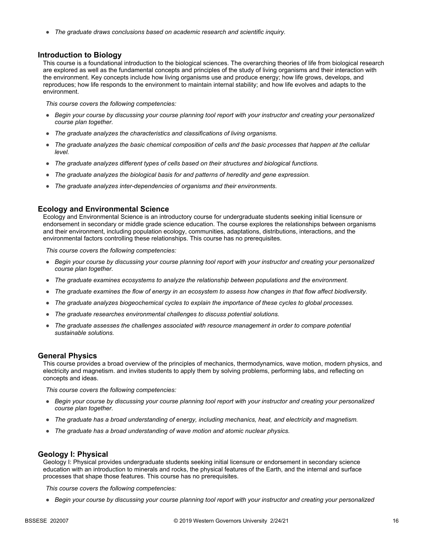● *The graduate draws conclusions based on academic research and scientific inquiry.*

#### **Introduction to Biology**

This course is a foundational introduction to the biological sciences. The overarching theories of life from biological research are explored as well as the fundamental concepts and principles of the study of living organisms and their interaction with the environment. Key concepts include how living organisms use and produce energy; how life grows, develops, and reproduces; how life responds to the environment to maintain internal stability; and how life evolves and adapts to the environment.

*This course covers the following competencies:*

- *Begin your course by discussing your course planning tool report with your instructor and creating your personalized course plan together.*
- *The graduate analyzes the characteristics and classifications of living organisms.*
- *The graduate analyzes the basic chemical composition of cells and the basic processes that happen at the cellular level.*
- *The graduate analyzes different types of cells based on their structures and biological functions.*
- *The graduate analyzes the biological basis for and patterns of heredity and gene expression.*
- *The graduate analyzes inter-dependencies of organisms and their environments.*

#### **Ecology and Environmental Science**

Ecology and Environmental Science is an introductory course for undergraduate students seeking initial licensure or endorsement in secondary or middle grade science education. The course explores the relationships between organisms and their environment, including population ecology, communities, adaptations, distributions, interactions, and the environmental factors controlling these relationships. This course has no prerequisites.

*This course covers the following competencies:*

- *Begin your course by discussing your course planning tool report with your instructor and creating your personalized course plan together.*
- *The graduate examines ecosystems to analyze the relationship between populations and the environment.*
- *The graduate examines the flow of energy in an ecosystem to assess how changes in that flow affect biodiversity.*
- *The graduate analyzes biogeochemical cycles to explain the importance of these cycles to global processes.*
- *The graduate researches environmental challenges to discuss potential solutions.*
- *The graduate assesses the challenges associated with resource management in order to compare potential sustainable solutions.*

#### **General Physics**

This course provides a broad overview of the principles of mechanics, thermodynamics, wave motion, modern physics, and electricity and magnetism. and invites students to apply them by solving problems, performing labs, and reflecting on concepts and ideas.

*This course covers the following competencies:*

- *Begin your course by discussing your course planning tool report with your instructor and creating your personalized course plan together.*
- *The graduate has a broad understanding of energy, including mechanics, heat, and electricity and magnetism.*
- *The graduate has a broad understanding of wave motion and atomic nuclear physics.*

#### **Geology I: Physical**

Geology I: Physical provides undergraduate students seeking initial licensure or endorsement in secondary science education with an introduction to minerals and rocks, the physical features of the Earth, and the internal and surface processes that shape those features. This course has no prerequisites.

*This course covers the following competencies:*

● *Begin your course by discussing your course planning tool report with your instructor and creating your personalized*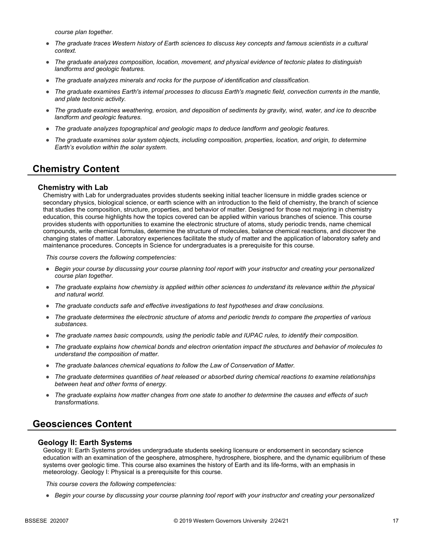*course plan together.*

- *The graduate traces Western history of Earth sciences to discuss key concepts and famous scientists in a cultural context.*
- *The graduate analyzes composition, location, movement, and physical evidence of tectonic plates to distinguish landforms and geologic features.*
- *The graduate analyzes minerals and rocks for the purpose of identification and classification.*
- *The graduate examines Earth's internal processes to discuss Earth's magnetic field, convection currents in the mantle, and plate tectonic activity.*
- *The graduate examines weathering, erosion, and deposition of sediments by gravity, wind, water, and ice to describe landform and geologic features.*
- *The graduate analyzes topographical and geologic maps to deduce landform and geologic features.*
- *The graduate examines solar system objects, including composition, properties, location, and origin, to determine Earth's evolution within the solar system.*

## **Chemistry Content**

#### **Chemistry with Lab**

Chemistry with Lab for undergraduates provides students seeking initial teacher licensure in middle grades science or secondary physics, biological science, or earth science with an introduction to the field of chemistry, the branch of science that studies the composition, structure, properties, and behavior of matter. Designed for those not majoring in chemistry education, this course highlights how the topics covered can be applied within various branches of science. This course provides students with opportunities to examine the electronic structure of atoms, study periodic trends, name chemical compounds, write chemical formulas, determine the structure of molecules, balance chemical reactions, and discover the changing states of matter. Laboratory experiences facilitate the study of matter and the application of laboratory safety and maintenance procedures. Concepts in Science for undergraduates is a prerequisite for this course.

*This course covers the following competencies:*

- *Begin your course by discussing your course planning tool report with your instructor and creating your personalized course plan together.*
- *The graduate explains how chemistry is applied within other sciences to understand its relevance within the physical and natural world.*
- *The graduate conducts safe and effective investigations to test hypotheses and draw conclusions.*
- *The graduate determines the electronic structure of atoms and periodic trends to compare the properties of various substances.*
- *The graduate names basic compounds, using the periodic table and IUPAC rules, to identify their composition.*
- *The graduate explains how chemical bonds and electron orientation impact the structures and behavior of molecules to understand the composition of matter.*
- *The graduate balances chemical equations to follow the Law of Conservation of Matter.*
- *The graduate determines quantities of heat released or absorbed during chemical reactions to examine relationships between heat and other forms of energy.*
- *The graduate explains how matter changes from one state to another to determine the causes and effects of such transformations.*

## **Geosciences Content**

#### **Geology II: Earth Systems**

Geology II: Earth Systems provides undergraduate students seeking licensure or endorsement in secondary science education with an examination of the geosphere, atmosphere, hydrosphere, biosphere, and the dynamic equilibrium of these systems over geologic time. This course also examines the history of Earth and its life-forms, with an emphasis in meteorology. Geology I: Physical is a prerequisite for this course.

*This course covers the following competencies:*

● *Begin your course by discussing your course planning tool report with your instructor and creating your personalized*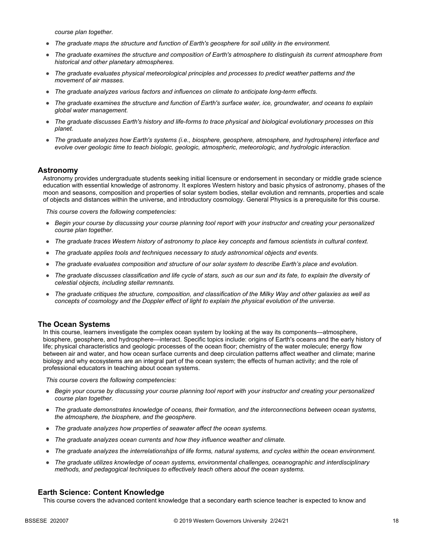*course plan together.*

- *The graduate maps the structure and function of Earth's geosphere for soil utility in the environment.*
- *The graduate examines the structure and composition of Earth's atmosphere to distinguish its current atmosphere from historical and other planetary atmospheres.*
- *The graduate evaluates physical meteorological principles and processes to predict weather patterns and the movement of air masses.*
- *The graduate analyzes various factors and influences on climate to anticipate long-term effects.*
- *The graduate examines the structure and function of Earth's surface water, ice, groundwater, and oceans to explain global water management.*
- *The graduate discusses Earth's history and life-forms to trace physical and biological evolutionary processes on this planet.*
- *The graduate analyzes how Earth's systems (i.e., biosphere, geosphere, atmosphere, and hydrosphere) interface and evolve over geologic time to teach biologic, geologic, atmospheric, meteorologic, and hydrologic interaction.*

#### **Astronomy**

Astronomy provides undergraduate students seeking initial licensure or endorsement in secondary or middle grade science education with essential knowledge of astronomy. It explores Western history and basic physics of astronomy, phases of the moon and seasons, composition and properties of solar system bodies, stellar evolution and remnants, properties and scale of objects and distances within the universe, and introductory cosmology. General Physics is a prerequisite for this course.

*This course covers the following competencies:*

- *Begin your course by discussing your course planning tool report with your instructor and creating your personalized course plan together.*
- *The graduate traces Western history of astronomy to place key concepts and famous scientists in cultural context.*
- *The graduate applies tools and techniques necessary to study astronomical objects and events.*
- *The graduate evaluates composition and structure of our solar system to describe Earth's place and evolution.*
- *The graduate discusses classification and life cycle of stars, such as our sun and its fate, to explain the diversity of celestial objects, including stellar remnants.*
- *The graduate critiques the structure, composition, and classification of the Milky Way and other galaxies as well as concepts of cosmology and the Doppler effect of light to explain the physical evolution of the universe.*

#### **The Ocean Systems**

In this course, learners investigate the complex ocean system by looking at the way its components—atmosphere, biosphere, geosphere, and hydrosphere—interact. Specific topics include: origins of Earth's oceans and the early history of life; physical characteristics and geologic processes of the ocean floor; chemistry of the water molecule; energy flow between air and water, and how ocean surface currents and deep circulation patterns affect weather and climate; marine biology and why ecosystems are an integral part of the ocean system; the effects of human activity; and the role of professional educators in teaching about ocean systems.

*This course covers the following competencies:*

- *Begin your course by discussing your course planning tool report with your instructor and creating your personalized course plan together.*
- *The graduate demonstrates knowledge of oceans, their formation, and the interconnections between ocean systems, the atmosphere, the biosphere, and the geosphere.*
- *The graduate analyzes how properties of seawater affect the ocean systems.*
- *The graduate analyzes ocean currents and how they influence weather and climate.*
- *The graduate analyzes the interrelationships of life forms, natural systems, and cycles within the ocean environment.*
- *The graduate utilizes knowledge of ocean systems, environmental challenges, oceanographic and interdisciplinary methods, and pedagogical techniques to effectively teach others about the ocean systems.*

#### **Earth Science: Content Knowledge**

This course covers the advanced content knowledge that a secondary earth science teacher is expected to know and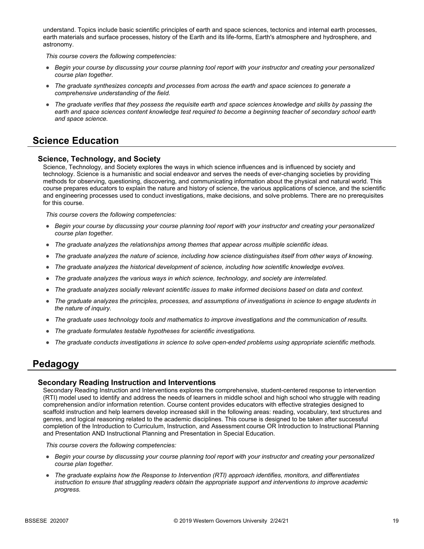understand. Topics include basic scientific principles of earth and space sciences, tectonics and internal earth processes, earth materials and surface processes, history of the Earth and its life-forms, Earth's atmosphere and hydrosphere, and astronomy.

*This course covers the following competencies:*

- *Begin your course by discussing your course planning tool report with your instructor and creating your personalized course plan together.*
- *The graduate synthesizes concepts and processes from across the earth and space sciences to generate a comprehensive understanding of the field.*
- *The graduate verifies that they possess the requisite earth and space sciences knowledge and skills by passing the*  earth and space sciences content knowledge test required to become a beginning teacher of secondary school earth *and space science.*

## **Science Education**

### **Science, Technology, and Society**

Science, Technology, and Society explores the ways in which science influences and is influenced by society and technology. Science is a humanistic and social endeavor and serves the needs of ever-changing societies by providing methods for observing, questioning, discovering, and communicating information about the physical and natural world. This course prepares educators to explain the nature and history of science, the various applications of science, and the scientific and engineering processes used to conduct investigations, make decisions, and solve problems. There are no prerequisites for this course.

*This course covers the following competencies:*

- *Begin your course by discussing your course planning tool report with your instructor and creating your personalized course plan together.*
- *The graduate analyzes the relationships among themes that appear across multiple scientific ideas.*
- *The graduate analyzes the nature of science, including how science distinguishes itself from other ways of knowing.*
- *The graduate analyzes the historical development of science, including how scientific knowledge evolves.*
- *The graduate analyzes the various ways in which science, technology, and society are interrelated.*
- *The graduate analyzes socially relevant scientific issues to make informed decisions based on data and context.*
- *The graduate analyzes the principles, processes, and assumptions of investigations in science to engage students in the nature of inquiry.*
- *The graduate uses technology tools and mathematics to improve investigations and the communication of results.*
- *The graduate formulates testable hypotheses for scientific investigations.*
- *The graduate conducts investigations in science to solve open-ended problems using appropriate scientific methods.*

## **Pedagogy**

#### **Secondary Reading Instruction and Interventions**

Secondary Reading Instruction and Interventions explores the comprehensive, student-centered response to intervention (RTI) model used to identify and address the needs of learners in middle school and high school who struggle with reading comprehension and/or information retention. Course content provides educators with effective strategies designed to scaffold instruction and help learners develop increased skill in the following areas: reading, vocabulary, text structures and genres, and logical reasoning related to the academic disciplines. This course is designed to be taken after successful completion of the Introduction to Curriculum, Instruction, and Assessment course OR Introduction to Instructional Planning and Presentation AND Instructional Planning and Presentation in Special Education.

- *Begin your course by discussing your course planning tool report with your instructor and creating your personalized course plan together.*
- *The graduate explains how the Response to Intervention (RTI) approach identifies, monitors, and differentiates instruction to ensure that struggling readers obtain the appropriate support and interventions to improve academic progress.*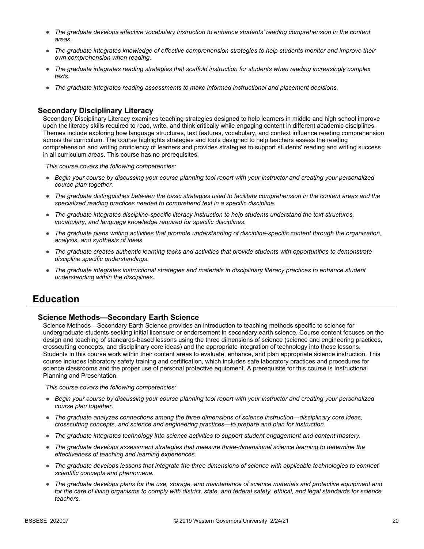- *The graduate develops effective vocabulary instruction to enhance students' reading comprehension in the content areas.*
- *The graduate integrates knowledge of effective comprehension strategies to help students monitor and improve their own comprehension when reading.*
- *The graduate integrates reading strategies that scaffold instruction for students when reading increasingly complex texts.*
- *The graduate integrates reading assessments to make informed instructional and placement decisions.*

### **Secondary Disciplinary Literacy**

Secondary Disciplinary Literacy examines teaching strategies designed to help learners in middle and high school improve upon the literacy skills required to read, write, and think critically while engaging content in different academic disciplines. Themes include exploring how language structures, text features, vocabulary, and context influence reading comprehension across the curriculum. The course highlights strategies and tools designed to help teachers assess the reading comprehension and writing proficiency of learners and provides strategies to support students' reading and writing success in all curriculum areas. This course has no prerequisites.

*This course covers the following competencies:*

- *Begin your course by discussing your course planning tool report with your instructor and creating your personalized course plan together.*
- *The graduate distinguishes between the basic strategies used to facilitate comprehension in the content areas and the specialized reading practices needed to comprehend text in a specific discipline.*
- *The graduate integrates discipline-specific literacy instruction to help students understand the text structures, vocabulary, and language knowledge required for specific disciplines.*
- *The graduate plans writing activities that promote understanding of discipline-specific content through the organization, analysis, and synthesis of ideas.*
- *The graduate creates authentic learning tasks and activities that provide students with opportunities to demonstrate discipline specific understandings.*
- *The graduate integrates instructional strategies and materials in disciplinary literacy practices to enhance student understanding within the disciplines.*

## **Education**

#### **Science Methods—Secondary Earth Science**

Science Methods—Secondary Earth Science provides an introduction to teaching methods specific to science for undergraduate students seeking initial licensure or endorsement in secondary earth science. Course content focuses on the design and teaching of standards-based lessons using the three dimensions of science (science and engineering practices, crosscutting concepts, and disciplinary core ideas) and the appropriate integration of technology into those lessons. Students in this course work within their content areas to evaluate, enhance, and plan appropriate science instruction. This course includes laboratory safety training and certification, which includes safe laboratory practices and procedures for science classrooms and the proper use of personal protective equipment. A prerequisite for this course is Instructional Planning and Presentation.

- *Begin your course by discussing your course planning tool report with your instructor and creating your personalized course plan together.*
- *The graduate analyzes connections among the three dimensions of science instruction—disciplinary core ideas, crosscutting concepts, and science and engineering practices—to prepare and plan for instruction.*
- *The graduate integrates technology into science activities to support student engagement and content mastery.*
- *The graduate develops assessment strategies that measure three-dimensional science learning to determine the effectiveness of teaching and learning experiences.*
- *The graduate develops lessons that integrate the three dimensions of science with applicable technologies to connect scientific concepts and phenomena.*
- *The graduate develops plans for the use, storage, and maintenance of science materials and protective equipment and for the care of living organisms to comply with district, state, and federal safety, ethical, and legal standards for science teachers.*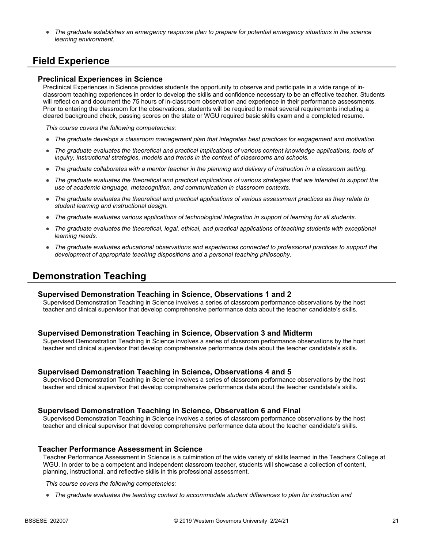● *The graduate establishes an emergency response plan to prepare for potential emergency situations in the science learning environment.*

## **Field Experience**

#### **Preclinical Experiences in Science**

Preclinical Experiences in Science provides students the opportunity to observe and participate in a wide range of inclassroom teaching experiences in order to develop the skills and confidence necessary to be an effective teacher. Students will reflect on and document the 75 hours of in-classroom observation and experience in their performance assessments. Prior to entering the classroom for the observations, students will be required to meet several requirements including a cleared background check, passing scores on the state or WGU required basic skills exam and a completed resume.

*This course covers the following competencies:*

- *The graduate develops a classroom management plan that integrates best practices for engagement and motivation.*
- The graduate evaluates the theoretical and practical implications of various content knowledge applications, tools of *inquiry, instructional strategies, models and trends in the context of classrooms and schools.*
- *The graduate collaborates with a mentor teacher in the planning and delivery of instruction in a classroom setting.*
- *The graduate evaluates the theoretical and practical implications of various strategies that are intended to support the use of academic language, metacognition, and communication in classroom contexts.*
- *The graduate evaluates the theoretical and practical applications of various assessment practices as they relate to student learning and instructional design.*
- *The graduate evaluates various applications of technological integration in support of learning for all students.*
- The graduate evaluates the theoretical, legal, ethical, and practical applications of teaching students with exceptional *learning needs.*
- *The graduate evaluates educational observations and experiences connected to professional practices to support the development of appropriate teaching dispositions and a personal teaching philosophy.*

## **Demonstration Teaching**

#### **Supervised Demonstration Teaching in Science, Observations 1 and 2**

Supervised Demonstration Teaching in Science involves a series of classroom performance observations by the host teacher and clinical supervisor that develop comprehensive performance data about the teacher candidate's skills.

#### **Supervised Demonstration Teaching in Science, Observation 3 and Midterm**

Supervised Demonstration Teaching in Science involves a series of classroom performance observations by the host teacher and clinical supervisor that develop comprehensive performance data about the teacher candidate's skills.

#### **Supervised Demonstration Teaching in Science, Observations 4 and 5**

Supervised Demonstration Teaching in Science involves a series of classroom performance observations by the host teacher and clinical supervisor that develop comprehensive performance data about the teacher candidate's skills.

#### **Supervised Demonstration Teaching in Science, Observation 6 and Final**

Supervised Demonstration Teaching in Science involves a series of classroom performance observations by the host teacher and clinical supervisor that develop comprehensive performance data about the teacher candidate's skills.

#### **Teacher Performance Assessment in Science**

Teacher Performance Assessment in Science is a culmination of the wide variety of skills learned in the Teachers College at WGU. In order to be a competent and independent classroom teacher, students will showcase a collection of content, planning, instructional, and reflective skills in this professional assessment.

*This course covers the following competencies:*

● *The graduate evaluates the teaching context to accommodate student differences to plan for instruction and*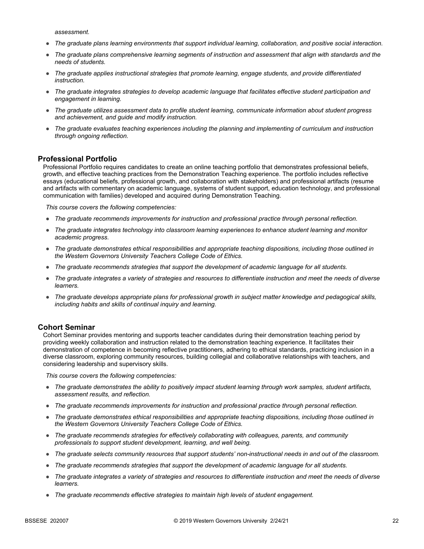*assessment.*

- *The graduate plans learning environments that support individual learning, collaboration, and positive social interaction.*
- *The graduate plans comprehensive learning segments of instruction and assessment that align with standards and the needs of students.*
- *The graduate applies instructional strategies that promote learning, engage students, and provide differentiated instruction.*
- *The graduate integrates strategies to develop academic language that facilitates effective student participation and engagement in learning.*
- *The graduate utilizes assessment data to profile student learning, communicate information about student progress and achievement, and guide and modify instruction.*
- *The graduate evaluates teaching experiences including the planning and implementing of curriculum and instruction through ongoing reflection.*

#### **Professional Portfolio**

Professional Portfolio requires candidates to create an online teaching portfolio that demonstrates professional beliefs, growth, and effective teaching practices from the Demonstration Teaching experience. The portfolio includes reflective essays (educational beliefs, professional growth, and collaboration with stakeholders) and professional artifacts (resume and artifacts with commentary on academic language, systems of student support, education technology, and professional communication with families) developed and acquired during Demonstration Teaching.

*This course covers the following competencies:*

- *The graduate recommends improvements for instruction and professional practice through personal reflection.*
- *The graduate integrates technology into classroom learning experiences to enhance student learning and monitor academic progress.*
- *The graduate demonstrates ethical responsibilities and appropriate teaching dispositions, including those outlined in the Western Governors University Teachers College Code of Ethics.*
- *The graduate recommends strategies that support the development of academic language for all students.*
- *The graduate integrates a variety of strategies and resources to differentiate instruction and meet the needs of diverse learners.*
- *The graduate develops appropriate plans for professional growth in subject matter knowledge and pedagogical skills, including habits and skills of continual inquiry and learning.*

#### **Cohort Seminar**

Cohort Seminar provides mentoring and supports teacher candidates during their demonstration teaching period by providing weekly collaboration and instruction related to the demonstration teaching experience. It facilitates their demonstration of competence in becoming reflective practitioners, adhering to ethical standards, practicing inclusion in a diverse classroom, exploring community resources, building collegial and collaborative relationships with teachers, and considering leadership and supervisory skills.

- *The graduate demonstrates the ability to positively impact student learning through work samples, student artifacts, assessment results, and reflection.*
- *The graduate recommends improvements for instruction and professional practice through personal reflection.*
- *The graduate demonstrates ethical responsibilities and appropriate teaching dispositions, including those outlined in the Western Governors University Teachers College Code of Ethics.*
- *The graduate recommends strategies for effectively collaborating with colleagues, parents, and community professionals to support student development, learning, and well being.*
- *The graduate selects community resources that support students' non-instructional needs in and out of the classroom.*
- *The graduate recommends strategies that support the development of academic language for all students.*
- *The graduate integrates a variety of strategies and resources to differentiate instruction and meet the needs of diverse learners.*
- *The graduate recommends effective strategies to maintain high levels of student engagement.*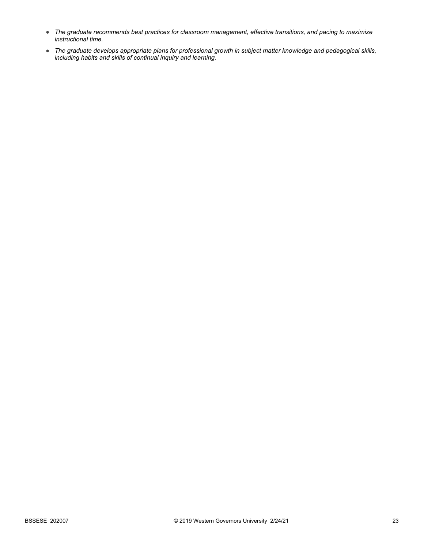- *The graduate recommends best practices for classroom management, effective transitions, and pacing to maximize instructional time.*
- *The graduate develops appropriate plans for professional growth in subject matter knowledge and pedagogical skills, including habits and skills of continual inquiry and learning.*